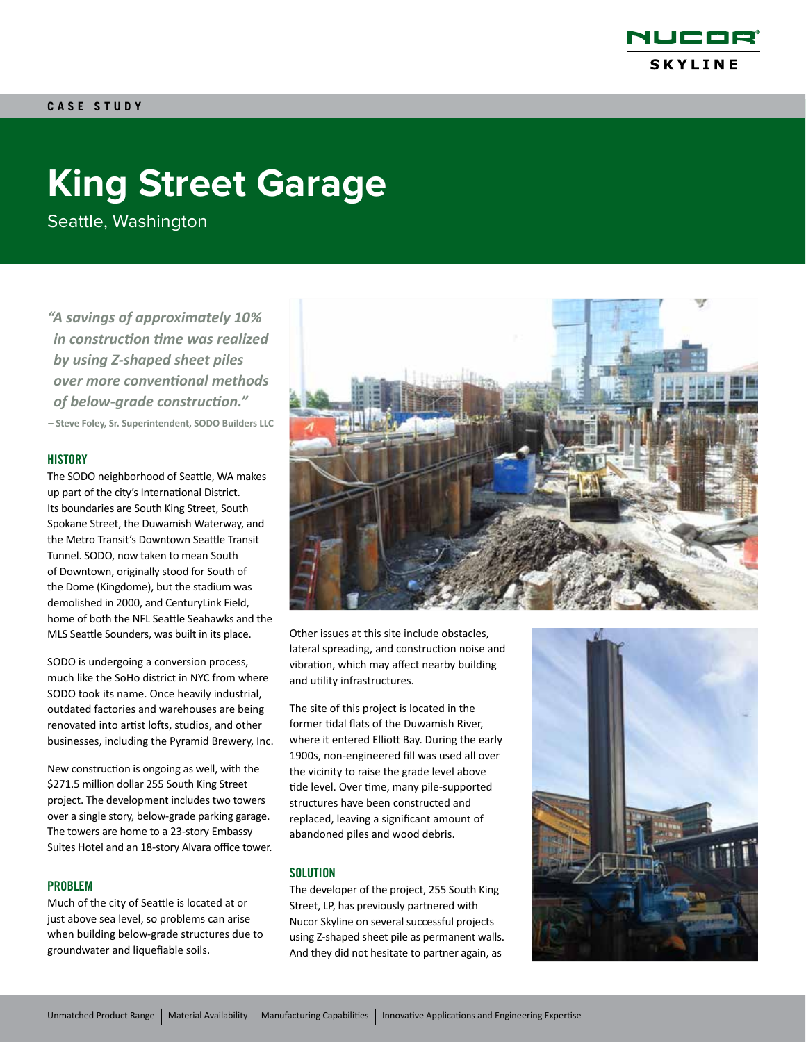

# **King Street Garage**

Seattle, Washington

*"A savings of approximately 10% in construction time was realized by using Z-shaped sheet piles over more conventional methods of below-grade construction."* **– Steve Foley, Sr. Superintendent, SODO Builders LLC** 

#### **HISTORY**

The SODO neighborhood of Seattle, WA makes up part of the city's International District. Its boundaries are South King Street, South Spokane Street, the Duwamish Waterway, and the Metro Transit's Downtown Seattle Transit Tunnel. SODO, now taken to mean South of Downtown, originally stood for South of the Dome (Kingdome), but the stadium was demolished in 2000, and CenturyLink Field, home of both the NFL Seattle Seahawks and the MLS Seattle Sounders, was built in its place.

SODO is undergoing a conversion process, much like the SoHo district in NYC from where SODO took its name. Once heavily industrial, outdated factories and warehouses are being renovated into artist lofts, studios, and other businesses, including the Pyramid Brewery, Inc.

New construction is ongoing as well, with the \$271.5 million dollar 255 South King Street project. The development includes two towers over a single story, below-grade parking garage. The towers are home to a 23-story Embassy Suites Hotel and an 18-story Alvara office tower.

#### PROBLEM

Much of the city of Seattle is located at or just above sea level, so problems can arise when building below-grade structures due to groundwater and liquefiable soils.



Other issues at this site include obstacles, lateral spreading, and construction noise and vibration, which may affect nearby building and utility infrastructures.

The site of this project is located in the former tidal flats of the Duwamish River, where it entered Elliott Bay. During the early 1900s, non-engineered fill was used all over the vicinity to raise the grade level above tide level. Over time, many pile-supported structures have been constructed and replaced, leaving a significant amount of abandoned piles and wood debris.

#### **SOLUTION**

The developer of the project, 255 South King Street, LP, has previously partnered with Nucor Skyline on several successful projects using Z-shaped sheet pile as permanent walls. And they did not hesitate to partner again, as